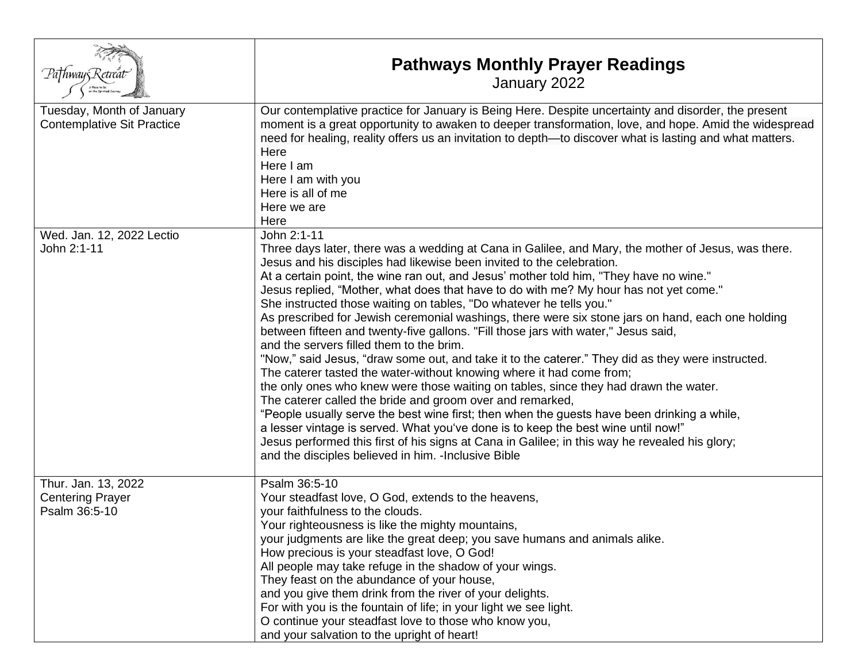| Pathway Retreat                                                 | <b>Pathways Monthly Prayer Readings</b><br>January 2022                                                                                                                                                                                                                                                                                                                                                                                                                                                                                                                                                                                                                                                                                                                                                                                                                                                                                                                                                                                                                                                                                                                                                                                                                                                                                                                      |
|-----------------------------------------------------------------|------------------------------------------------------------------------------------------------------------------------------------------------------------------------------------------------------------------------------------------------------------------------------------------------------------------------------------------------------------------------------------------------------------------------------------------------------------------------------------------------------------------------------------------------------------------------------------------------------------------------------------------------------------------------------------------------------------------------------------------------------------------------------------------------------------------------------------------------------------------------------------------------------------------------------------------------------------------------------------------------------------------------------------------------------------------------------------------------------------------------------------------------------------------------------------------------------------------------------------------------------------------------------------------------------------------------------------------------------------------------------|
| Tuesday, Month of January<br><b>Contemplative Sit Practice</b>  | Our contemplative practice for January is Being Here. Despite uncertainty and disorder, the present<br>moment is a great opportunity to awaken to deeper transformation, love, and hope. Amid the widespread<br>need for healing, reality offers us an invitation to depth—to discover what is lasting and what matters.<br>Here<br>Here I am<br>Here I am with you<br>Here is all of me<br>Here we are<br>Here                                                                                                                                                                                                                                                                                                                                                                                                                                                                                                                                                                                                                                                                                                                                                                                                                                                                                                                                                              |
| Wed. Jan. 12, 2022 Lectio<br>John 2:1-11                        | John 2:1-11<br>Three days later, there was a wedding at Cana in Galilee, and Mary, the mother of Jesus, was there.<br>Jesus and his disciples had likewise been invited to the celebration.<br>At a certain point, the wine ran out, and Jesus' mother told him, "They have no wine."<br>Jesus replied, "Mother, what does that have to do with me? My hour has not yet come."<br>She instructed those waiting on tables, "Do whatever he tells you."<br>As prescribed for Jewish ceremonial washings, there were six stone jars on hand, each one holding<br>between fifteen and twenty-five gallons. "Fill those jars with water," Jesus said,<br>and the servers filled them to the brim.<br>"Now," said Jesus, "draw some out, and take it to the caterer." They did as they were instructed.<br>The caterer tasted the water-without knowing where it had come from;<br>the only ones who knew were those waiting on tables, since they had drawn the water.<br>The caterer called the bride and groom over and remarked,<br>"People usually serve the best wine first; then when the guests have been drinking a while,<br>a lesser vintage is served. What you've done is to keep the best wine until now!"<br>Jesus performed this first of his signs at Cana in Galilee; in this way he revealed his glory;<br>and the disciples believed in him. - Inclusive Bible |
| Thur. Jan. 13, 2022<br><b>Centering Prayer</b><br>Psalm 36:5-10 | Psalm 36:5-10<br>Your steadfast love, O God, extends to the heavens,<br>your faithfulness to the clouds.<br>Your righteousness is like the mighty mountains,<br>your judgments are like the great deep; you save humans and animals alike.<br>How precious is your steadfast love, O God!<br>All people may take refuge in the shadow of your wings.<br>They feast on the abundance of your house,<br>and you give them drink from the river of your delights.<br>For with you is the fountain of life; in your light we see light.<br>O continue your steadfast love to those who know you,<br>and your salvation to the upright of heart!                                                                                                                                                                                                                                                                                                                                                                                                                                                                                                                                                                                                                                                                                                                                  |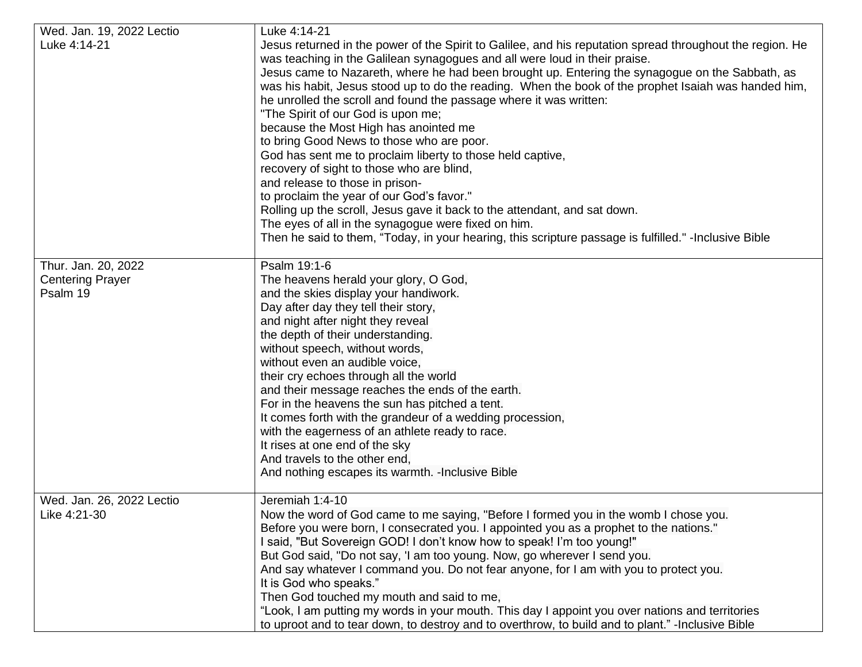|                           | Luke 4:14-21                                                                                              |
|---------------------------|-----------------------------------------------------------------------------------------------------------|
| Wed. Jan. 19, 2022 Lectio |                                                                                                           |
| Luke 4:14-21              | Jesus returned in the power of the Spirit to Galilee, and his reputation spread throughout the region. He |
|                           | was teaching in the Galilean synagogues and all were loud in their praise.                                |
|                           | Jesus came to Nazareth, where he had been brought up. Entering the synagogue on the Sabbath, as           |
|                           | was his habit, Jesus stood up to do the reading. When the book of the prophet Isaiah was handed him,      |
|                           | he unrolled the scroll and found the passage where it was written:                                        |
|                           | "The Spirit of our God is upon me;                                                                        |
|                           |                                                                                                           |
|                           | because the Most High has anointed me                                                                     |
|                           | to bring Good News to those who are poor.                                                                 |
|                           | God has sent me to proclaim liberty to those held captive,                                                |
|                           | recovery of sight to those who are blind,                                                                 |
|                           | and release to those in prison-                                                                           |
|                           | to proclaim the year of our God's favor."                                                                 |
|                           | Rolling up the scroll, Jesus gave it back to the attendant, and sat down.                                 |
|                           | The eyes of all in the synagogue were fixed on him.                                                       |
|                           |                                                                                                           |
|                           | Then he said to them, "Today, in your hearing, this scripture passage is fulfilled." -Inclusive Bible     |
| Thur. Jan. 20, 2022       | Psalm 19:1-6                                                                                              |
| <b>Centering Prayer</b>   | The heavens herald your glory, O God,                                                                     |
| Psalm 19                  | and the skies display your handiwork.                                                                     |
|                           | Day after day they tell their story,                                                                      |
|                           |                                                                                                           |
|                           | and night after night they reveal                                                                         |
|                           | the depth of their understanding.                                                                         |
|                           | without speech, without words,                                                                            |
|                           | without even an audible voice,                                                                            |
|                           | their cry echoes through all the world                                                                    |
|                           | and their message reaches the ends of the earth.                                                          |
|                           | For in the heavens the sun has pitched a tent.                                                            |
|                           | It comes forth with the grandeur of a wedding procession,                                                 |
|                           | with the eagerness of an athlete ready to race.                                                           |
|                           |                                                                                                           |
|                           | It rises at one end of the sky                                                                            |
|                           | And travels to the other end,                                                                             |
|                           | And nothing escapes its warmth. - Inclusive Bible                                                         |
| Wed. Jan. 26, 2022 Lectio | Jeremiah 1:4-10                                                                                           |
| Like 4:21-30              | Now the word of God came to me saying, "Before I formed you in the womb I chose you.                      |
|                           | Before you were born, I consecrated you. I appointed you as a prophet to the nations."                    |
|                           |                                                                                                           |
|                           | I said, "But Sovereign GOD! I don't know how to speak! I'm too young!"                                    |
|                           | But God said, "Do not say, 'I am too young. Now, go wherever I send you.                                  |
|                           | And say whatever I command you. Do not fear anyone, for I am with you to protect you.                     |
|                           | It is God who speaks."                                                                                    |
|                           | Then God touched my mouth and said to me,                                                                 |
|                           | "Look, I am putting my words in your mouth. This day I appoint you over nations and territories           |
|                           | to uproot and to tear down, to destroy and to overthrow, to build and to plant." - Inclusive Bible        |